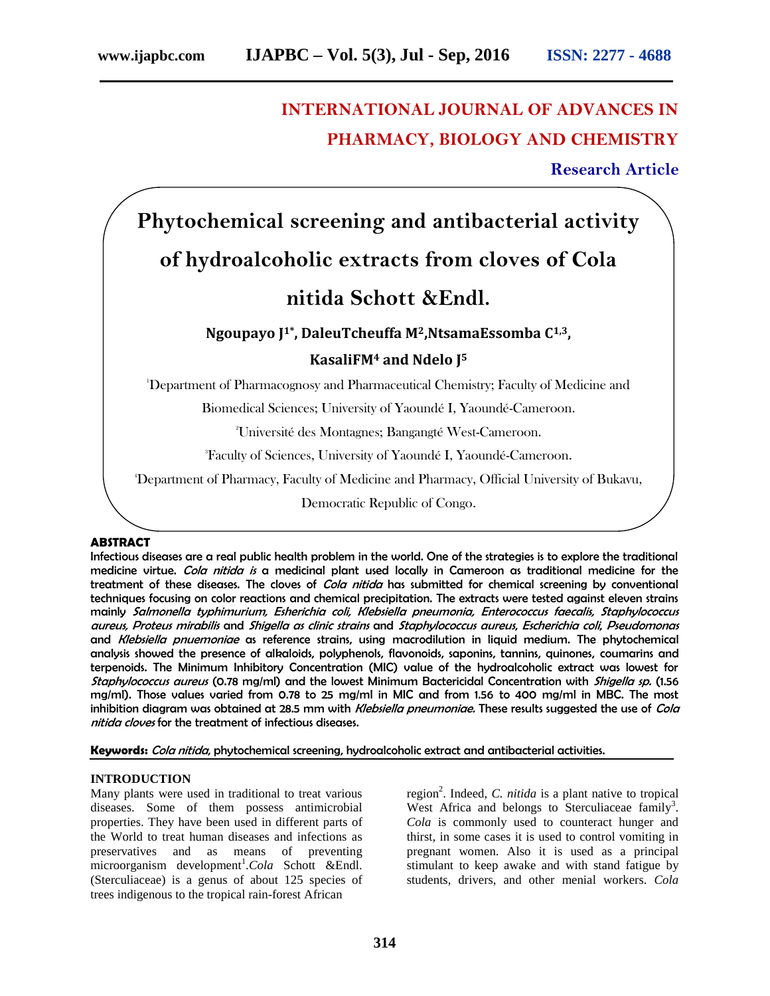## **INTERNATIONAL JOURNAL OF ADVANCES IN PHARMACY, BIOLOGY AND CHEMISTRY**

**Research Article**

# **Phytochemical screening and antibacterial activity of hydroalcoholic extracts from cloves of Cola nitida Schott &Endl.**

### **Ngoupayo J1\*, DaleuTcheuffa M2,NtsamaEssomba C1,3, KasaliFM<sup>4</sup> and Ndelo J<sup>5</sup>**

<sup>1</sup>Department of Pharmacognosy and Pharmaceutical Chemistry; Faculty of Medicine and

Biomedical Sciences; University of Yaoundé I, Yaoundé-Cameroon.

<sup>2</sup>Université des Montagnes; Bangangté West-Cameroon.

<sup>3</sup>Faculty of Sciences, University of Yaoundé I, Yaoundé-Cameroon.

<sup>4</sup>Department of Pharmacy, Faculty of Medicine and Pharmacy, Official University of Bukavu,

Democratic Republic of Congo.  $\sim$ Faculty of Pharmaceutical Sciences, University of  $K$ 

#### **ABSTRACT**

Infectious diseases are a real public health problem in the world. One of the strategies is to explore the traditional medicine virtue. *Cola nitida is* a medicinal plant used locally in Cameroon as traditional medicine for the treatment of these diseases. The cloves of *Cola nitida* has submitted for chemical screening by conventional techniques focusing on color reactions and chemical precipitation. The extracts were tested against eleven strains mainly *Salmonella typhimurium, Esherichia coli, Klebsiella pneumonia, Enterococcus faecalis, Staphylococcus aureus, Proteus mirabilis* and *Shigella as clinic strains* and *Staphylococcus aureus*, *Escherichia coli*, *Pseudomonas* and *Klebsiella pnuemoniae* as reference strains, using macrodilution in liquid medium. The phytochemical analysis showed the presence of alkaloids, polyphenols, flavonoids, saponins, tannins, quinones, coumarins and terpenoids. The Minimum Inhibitory Concentration (MIC) value of the hydroalcoholic extract was lowest for *Staphylococcus aureus* (0.78 mg/ml) and the lowest Minimum Bactericidal Concentration with *Shigella sp.* (1.56 mg/ml). Those values varied from 0.78 to 25 mg/ml in MIC and from 1.56 to 400 mg/ml in MBC. The most inhibition diagram was obtained at 28.5 mm with *Klebsiella pneumoniae.* These results suggested the use of *Cola nitida cloves* for the treatment of infectious diseases.

**Keywords:** *Cola nitida*, phytochemical screening, hydroalcoholic extract and antibacterial activities.

#### **INTRODUCTION**

Many plants were used in traditional to treat various diseases. Some of them possess antimicrobial properties. They have been used in different parts of the World to treat human diseases and infections as preservatives and as means of preventing microorganism development<sup>1</sup>.Cola Schott &Endl. (Sterculiaceae) is a genus of about 125 species of trees indigenous to the tropical rain-forest African

region<sup>2</sup>. Indeed, *C. nitida* is a plant native to tropical West Africa and belongs to Sterculiaceae family<sup>3</sup>. *Cola* is commonly used to counteract hunger and thirst, in some cases it is used to control vomiting in pregnant women. Also it is used as a principal stimulant to keep awake and with stand fatigue by students, drivers, and other menial workers. *Cola*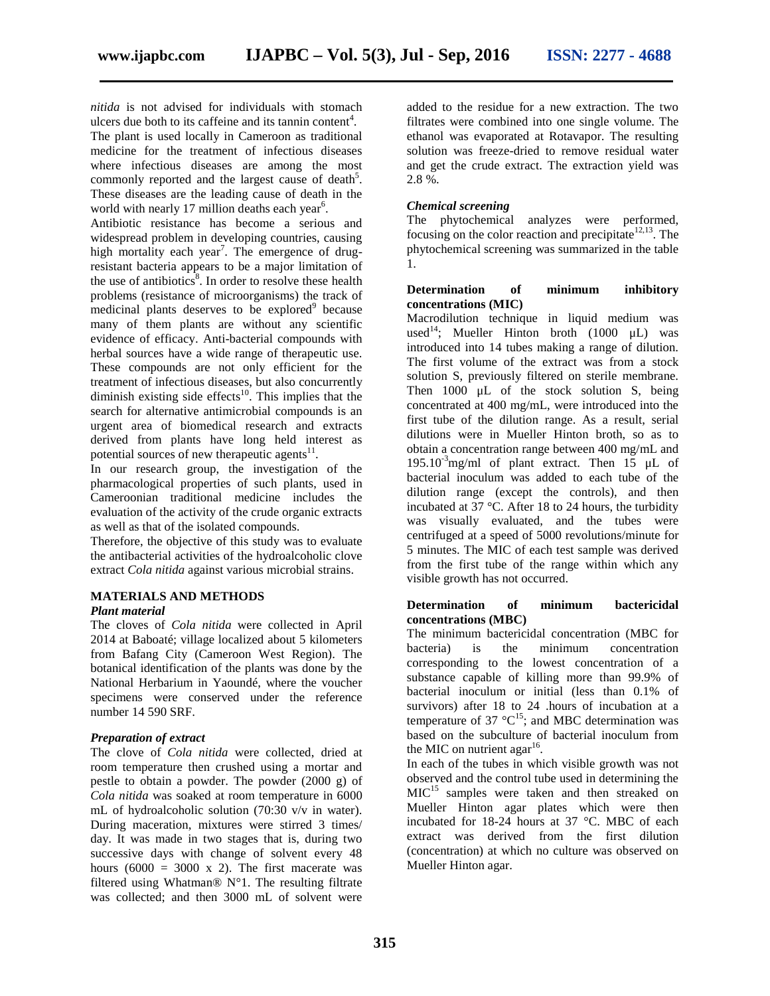*nitida* is not advised for individuals with stomach

ulcers due both to its caffeine and its tannin content<sup>4</sup>. The plant is used locally in Cameroon as traditional medicine for the treatment of infectious diseases where infectious diseases are among the most commonly reported and the largest cause of death<sup>5</sup>. These diseases are the leading cause of death in the world with nearly 17 million deaths each year<sup>6</sup>.

Antibiotic resistance has become a serious and widespread problem in developing countries, causing high mortality each year<sup>7</sup>. The emergence of drugresistant bacteria appears to be a major limitation of the use of antibiotics<sup>8</sup>. In order to resolve these health problems (resistance of microorganisms) the track of medicinal plants deserves to be explored $9$  because many of them plants are without any scientific evidence of efficacy. Anti-bacterial compounds with herbal sources have a wide range of therapeutic use. These compounds are not only efficient for the treatment of infectious diseases, but also concurrently diminish existing side effects<sup>10</sup>. This implies that the search for alternative antimicrobial compounds is an urgent area of biomedical research and extracts derived from plants have long held interest as potential sources of new therapeutic agents $11$ .

In our research group, the investigation of the pharmacological properties of such plants, used in Cameroonian traditional medicine includes the evaluation of the activity of the crude organic extracts as well as that of the isolated compounds.

Therefore, the objective of this study was to evaluate the antibacterial activities of the hydroalcoholic clove extract *Cola nitida* against various microbial strains.

#### **MATERIALS AND METHODS**

#### *Plant material*

The cloves of *Cola nitida* were collected in April 2014 at Baboaté; village localized about 5 kilometers from Bafang City (Cameroon West Region). The botanical identification of the plants was done by the National Herbarium in Yaoundé, where the voucher specimens were conserved under the reference number 14 590 SRF.

#### *Preparation of extract*

The clove of *Cola nitida* were collected, dried at room temperature then crushed using a mortar and pestle to obtain a powder. The powder (2000 g) of *Cola nitida* was soaked at room temperature in 6000 mL of hydroalcoholic solution (70:30 v/v in water). During maceration, mixtures were stirred 3 times/ day. It was made in two stages that is, during two successive days with change of solvent every 48 hours (6000 = 3000 x 2). The first macerate was filtered using Whatman®  $N^{\circ}1$ . The resulting filtrate was collected; and then 3000 mL of solvent were

added to the residue for a new extraction. The two filtrates were combined into one single volume. The ethanol was evaporated at Rotavapor. The resulting solution was freeze-dried to remove residual water and get the crude extract. The extraction yield was 2.8 %.

#### *Chemical screening*

The phytochemical analyzes were performed, focusing on the color reaction and precipitate<sup>12,13</sup>. The phytochemical screening was summarized in the table 1.

#### **Determination of minimum inhibitory concentrations (MIC)**

Macrodilution technique in liquid medium was used<sup>14</sup>; Mueller Hinton broth (1000  $\mu$ L) was introduced into 14 tubes making a range of dilution. The first volume of the extract was from a stock solution S, previously filtered on sterile membrane. Then 1000 μL of the stock solution S, being concentrated at 400 mg/mL, were introduced into the first tube of the dilution range. As a result, serial dilutions were in Mueller Hinton broth, so as to obtain a concentration range between 400 mg/mL and  $195.10^{-3}$ mg/ml of plant extract. Then 15  $\mu$ L of bacterial inoculum was added to each tube of the dilution range (except the controls), and then incubated at 37 °C. After 18 to 24 hours, the turbidity was visually evaluated, and the tubes were centrifuged at a speed of 5000 revolutions/minute for 5 minutes. The MIC of each test sample was derived from the first tube of the range within which any visible growth has not occurred.

#### **Determination of minimum bactericidal concentrations (MBC)**

The minimum bactericidal concentration (MBC for bacteria) is the minimum concentration corresponding to the lowest concentration of a substance capable of killing more than 99.9% of bacterial inoculum or initial (less than 0.1% of survivors) after 18 to 24 .hours of incubation at a temperature of 37  $^{\circ}C^{15}$ ; and MBC determination was based on the subculture of bacterial inoculum from the MIC on nutrient agar<sup>16</sup>. .

In each of the tubes in which visible growth was not observed and the control tube used in determining the MIC<sup>15</sup> samples were taken and then streaked on Mueller Hinton agar plates which were then incubated for 18-24 hours at 37 °C. MBC of each extract was derived from the first dilution (concentration) at which no culture was observed on Mueller Hinton agar.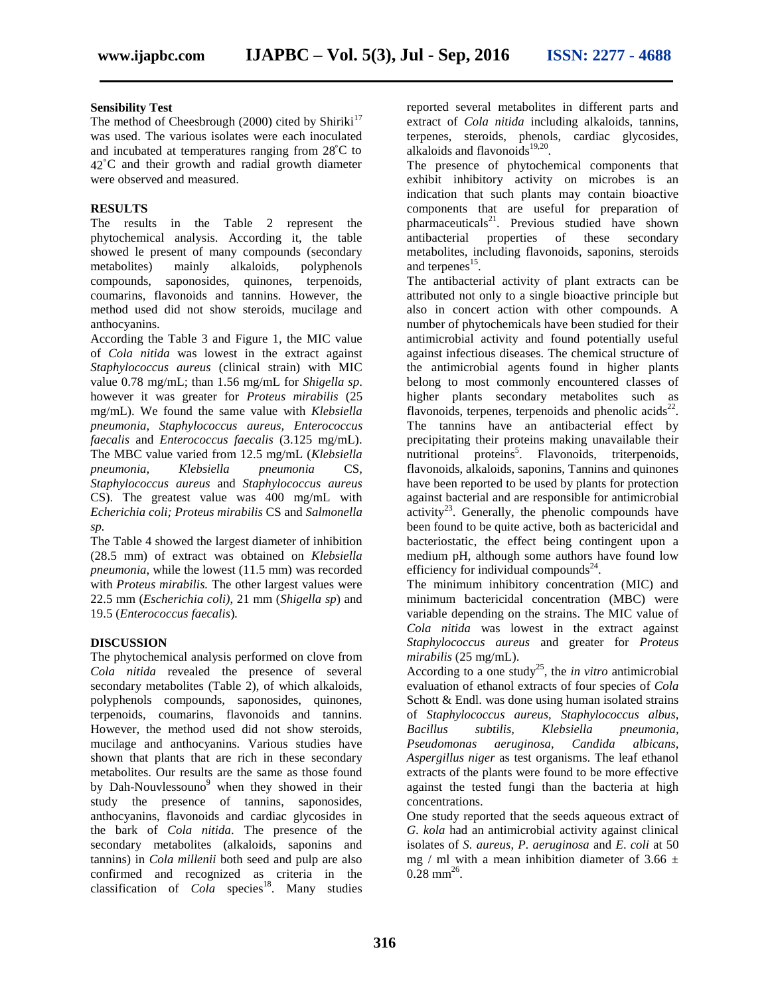#### **Sensibility Test**

The method of Cheesbrough (2000) cited by Shiriki<sup>17</sup> was used. The various isolates were each inoculated and incubated at temperatures ranging from 28˚C to 42˚C and their growth and radial growth diameter were observed and measured.

#### **RESULTS**

The results in the Table 2 represent the phytochemical analysis. According it, the table showed le present of many compounds (secondary metabolites) mainly alkaloids, polyphenols compounds, saponosides, quinones, terpenoids, coumarins, flavonoids and tannins. However, the method used did not show steroids, mucilage and anthocyanins.

According the Table 3 and Figure 1, the MIC value of *Cola nitida* was lowest in the extract against *Staphylococcus aureus* (clinical strain) with MIC value 0.78 mg/mL; than 1.56 mg/mL for *Shigella sp*. however it was greater for *Proteus mirabilis* (25 mg/mL). We found the same value with *Klebsiella pneumonia, Staphylococcus aureus, Enterococcus faecalis* and *Enterococcus faecalis* (3.125 mg/mL). The MBC value varied from 12.5 mg/mL (*Klebsiella pneumonia, Klebsiella pneumonia* CS*, Staphylococcus aureus* and *Staphylococcus aureus* CS). The greatest value was 400 mg/mL with *Echerichia coli; Proteus mirabilis* CS and *Salmonella sp.*

The Table 4 showed the largest diameter of inhibition (28.5 mm) of extract was obtained on *Klebsiella pneumonia*, while the lowest (11.5 mm) was recorded with *Proteus mirabilis.* The other largest values were 22.5 mm (*Escherichia coli)*, 21 mm (*Shigella sp*) and 19.5 (*Enterococcus faecalis*)*.*

#### **DISCUSSION**

The phytochemical analysis performed on clove from *Cola nitida* revealed the presence of several secondary metabolites (Table 2), of which alkaloids, polyphenols compounds, saponosides, quinones, terpenoids, coumarins, flavonoids and tannins. However, the method used did not show steroids, mucilage and anthocyanins. Various studies have shown that plants that are rich in these secondary metabolites. Our results are the same as those found by Dah-Nouvlessouno<sup>9</sup> when they showed in their study the presence of tannins, saponosides, anthocyanins, flavonoids and cardiac glycosides in the bark of *Cola nitida*. The presence of the secondary metabolites (alkaloids, saponins and tannins) in *Cola millenii* both seed and pulp are also confirmed and recognized as criteria in the classification of *Cola* species<sup>18</sup>. Many studies reported several metabolites in different parts and extract of *Cola nitida* including alkaloids, tannins, terpenes, steroids, phenols, cardiac glycosides, alkaloids and flavonoids $19,20$ . .

The presence of phytochemical components that exhibit inhibitory activity on microbes is an indication that such plants may contain bioactive components that are useful for preparation of pharmaceuticals<sup>21</sup>. Previous studied have shown antibacterial properties of these secondary metabolites, including flavonoids, saponins, steroids and terpenes<sup>15</sup>.

The antibacterial activity of plant extracts can be attributed not only to a single bioactive principle but also in concert action with other compounds. A number of phytochemicals have been studied for their antimicrobial activity and found potentially useful against infectious diseases. The chemical structure of the antimicrobial agents found in higher plants belong to most commonly encountered classes of higher plants secondary metabolites such as flavonoids, terpenes, terpenoids and phenolic acids $^{22}$ . The tannins have an antibacterial effect by precipitating their proteins making unavailable their nutritional proteins<sup>5</sup>. Flavonoids, triterpenoids, flavonoids, alkaloids, saponins, Tannins and quinones have been reported to be used by plants for protection against bacterial and are responsible for antimicrobial activity<sup>23</sup>. Generally, the phenolic compounds have been found to be quite active, both as bactericidal and bacteriostatic, the effect being contingent upon a medium pH, although some authors have found low efficiency for individual compounds $^{24}$ .

The minimum inhibitory concentration (MIC) and minimum bactericidal concentration (MBC) were variable depending on the strains. The MIC value of *Cola nitida* was lowest in the extract against *Staphylococcus aureus* and greater for *Proteus mirabilis* (25 mg/mL).

According to a one study<sup>25</sup>, the *in vitro* antimicrobial evaluation of ethanol extracts of four species of *Cola* Schott & Endl. was done using human isolated strains of *Staphylococcus aureus, Staphylococcus albus, Bacillus subtilis, Klebsiella pneumonia, Pseudomonas aeruginosa, Candida albicans, Aspergillus niger* as test organisms. The leaf ethanol extracts of the plants were found to be more effective against the tested fungi than the bacteria at high concentrations.

One study reported that the seeds aqueous extract of *G. kola* had an antimicrobial activity against clinical isolates of *S. aureus*, *P. aeruginosa* and *E*. *coli* at 50 mg / ml with a mean inhibition diameter of 3.66  $\pm$  $0.28 \text{ mm}^{26}$ .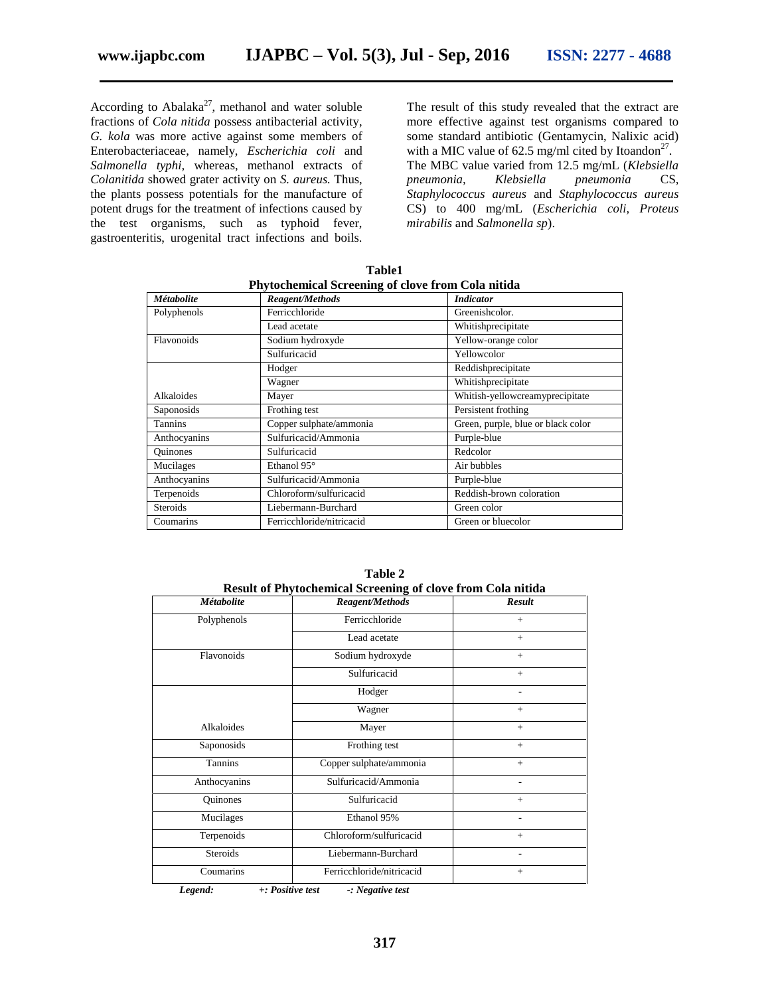According to Abalaka $^{27}$ , methanol and water soluble fractions of *Cola nitida* possess antibacterial activity, *G. kola* was more active against some members of Enterobacteriaceae, namely, *Escherichia coli* and *Salmonella typhi,* whereas, methanol extracts of *Colanitida* showed grater activity on *S. aureus.* Thus, the plants possess potentials for the manufacture of potent drugs for the treatment of infections caused by the test organisms, such as typhoid fever, gastroenteritis, urogenital tract infections and boils.

The result of this study revealed that the extract are more effective against test organisms compared to some standard antibiotic (Gentamycin, Nalixic acid) with a MIC value of 62.5 mg/ml cited by Itoandon<sup>27</sup>. The MBC value varied from 12.5 mg/mL (*Klebsiella pneumonia, Klebsiella pneumonia* CS*, Staphylococcus aureus* and *Staphylococcus aureus* CS) to 400 mg/mL (*Escherichia coli, Proteus mirabilis* and *Salmonella sp*).

| Phytochemical Screening of clove from Cola nitida |                           |                                    |  |  |
|---------------------------------------------------|---------------------------|------------------------------------|--|--|
| <b>Métabolite</b>                                 | <b>Reagent/Methods</b>    | <i>Indicator</i>                   |  |  |
| Polyphenols                                       | Ferricchloride            | Greenishcolor.                     |  |  |
|                                                   | Lead acetate              | Whitishprecipitate                 |  |  |
| Flavonoids                                        | Sodium hydroxyde          | Yellow-orange color                |  |  |
|                                                   | Sulfuricacid              | Yellowcolor                        |  |  |
|                                                   | Hodger                    | Reddishprecipitate                 |  |  |
|                                                   | Wagner                    | Whitishprecipitate                 |  |  |
| Alkaloides                                        | Mayer                     | Whitish-yellowcreamyprecipitate    |  |  |
| Saponosids                                        | Frothing test             | Persistent frothing                |  |  |
| <b>Tannins</b>                                    | Copper sulphate/ammonia   | Green, purple, blue or black color |  |  |
| Anthocyanins                                      | Sulfuricacid/Ammonia      | Purple-blue                        |  |  |
| <b>Ouinones</b>                                   | Sulfuricacid              | Redcolor                           |  |  |
| Mucilages                                         | Ethanol 95°               | Air bubbles                        |  |  |
| Anthocyanins                                      | Sulfuricacid/Ammonia      | Purple-blue                        |  |  |
| Terpenoids                                        | Chloroform/sulfuricacid   | Reddish-brown coloration           |  |  |
| <b>Steroids</b>                                   | Liebermann-Burchard       | Green color                        |  |  |
| Coumarins                                         | Ferricchloride/nitricacid | Green or bluecolor                 |  |  |

**Table1**

| Result of Phytochemical Screening of clove from Cola nitida |                           |               |  |  |  |
|-------------------------------------------------------------|---------------------------|---------------|--|--|--|
| <b>Métabolite</b>                                           | <b>Reagent/Methods</b>    | <b>Result</b> |  |  |  |
| Polyphenols                                                 | Ferricchloride            | $+$           |  |  |  |
|                                                             | Lead acetate              | $+$           |  |  |  |
| Flavonoids                                                  | Sodium hydroxyde          | $+$           |  |  |  |
|                                                             | Sulfuricacid              | $+$           |  |  |  |
|                                                             | Hodger                    |               |  |  |  |
|                                                             | Wagner                    | $+$           |  |  |  |
| Alkaloides                                                  | Mayer                     | $+$           |  |  |  |
| Saponosids                                                  | Frothing test             | $+$           |  |  |  |
| Tannins                                                     | Copper sulphate/ammonia   | $+$           |  |  |  |
| Anthocyanins                                                | Sulfuricacid/Ammonia      |               |  |  |  |
| <b>Ouinones</b>                                             | Sulfuricacid              | $+$           |  |  |  |
| Mucilages                                                   | Ethanol 95%               | ۰             |  |  |  |
| Terpenoids                                                  | Chloroform/sulfuricacid   | $+$           |  |  |  |
| Steroids                                                    | Liebermann-Burchard       |               |  |  |  |
| Coumarins                                                   | Ferricchloride/nitricacid | $+$           |  |  |  |
|                                                             |                           |               |  |  |  |

**Table 2**

*Legend: +: Positive test -: Negative test*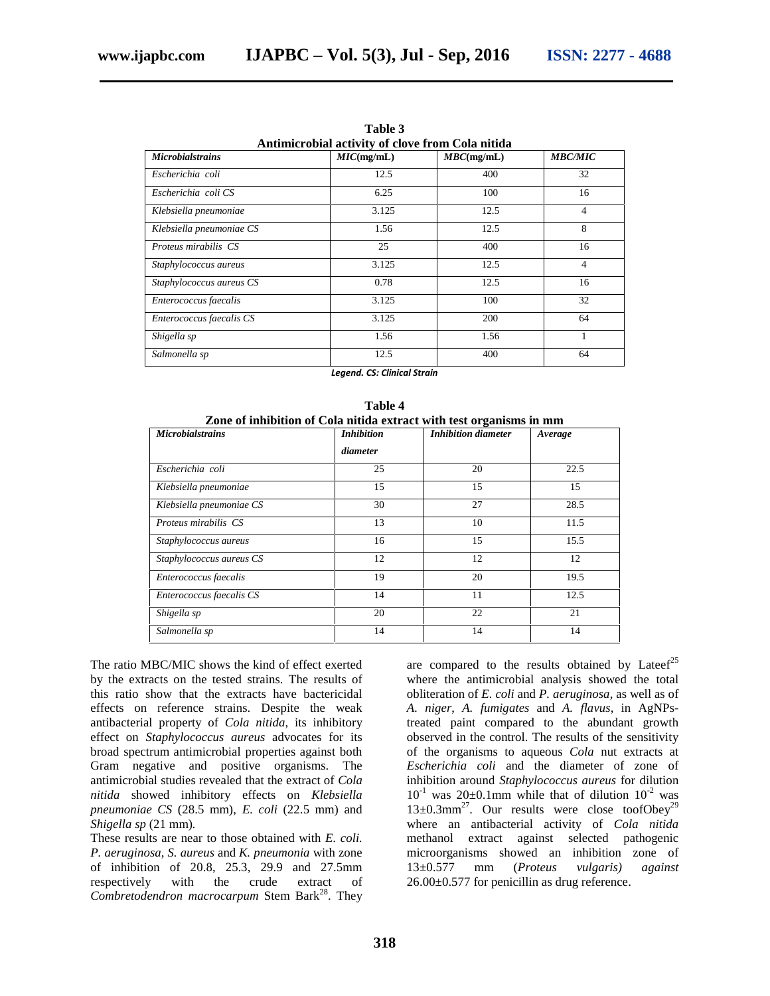| Antimicrobial activity of clove from Cola nitida |            |               |                |  |  |  |
|--------------------------------------------------|------------|---------------|----------------|--|--|--|
| <b>Microbialstrains</b>                          | MIC(mg/mL) | $MBC$ (mg/mL) | <b>MBC/MIC</b> |  |  |  |
| Escherichia coli                                 | 12.5       | 400           | 32             |  |  |  |
| Escherichia coli CS                              | 6.25       | 100           | 16             |  |  |  |
| Klebsiella pneumoniae                            | 3.125      | 12.5          | $\overline{4}$ |  |  |  |
| Klebsiella pneumoniae CS                         | 1.56       | 12.5          | 8              |  |  |  |
| Proteus mirabilis CS                             | 25         | 400           | 16             |  |  |  |
| Staphylococcus aureus                            | 3.125      | 12.5          | $\overline{4}$ |  |  |  |
| Staphylococcus aureus CS                         | 0.78       | 12.5          | 16             |  |  |  |
| Enterococcus faecalis                            | 3.125      | 100           | 32             |  |  |  |
| Enterococcus faecalis CS                         | 3.125      | 200           | 64             |  |  |  |
| Shigella sp                                      | 1.56       | 1.56          | 1              |  |  |  |
| Salmonella sp                                    | 12.5       | 400           | 64             |  |  |  |

**Table 3**

*Legend. CS: Clinical Strain*

| Table 4'<br>Zone of inhibition of Cola nitida extract with test organisms in mm |                   |                     |         |  |  |  |
|---------------------------------------------------------------------------------|-------------------|---------------------|---------|--|--|--|
| <b>Microbialstrains</b>                                                         | <i>Inhibition</i> | Inhibition diameter | Average |  |  |  |
|                                                                                 | diameter          |                     |         |  |  |  |
| Escherichia coli                                                                | 25                | 20                  | 22.5    |  |  |  |
| Klebsiella pneumoniae                                                           | 15                | 15                  | 15      |  |  |  |
| Klebsiella pneumoniae CS                                                        | 30                | 27                  | 28.5    |  |  |  |
| Proteus mirabilis CS                                                            | 13                | 10                  | 11.5    |  |  |  |
| Staphylococcus aureus                                                           | 16                | 15                  | 15.5    |  |  |  |
| Staphylococcus aureus CS                                                        | 12                | 12                  | 12      |  |  |  |
| Enterococcus faecalis                                                           | 19                | 20                  | 19.5    |  |  |  |
| Enterococcus faecalis CS                                                        | 14                | 11                  | 12.5    |  |  |  |
| Shigella sp                                                                     | 20                | 22                  | 21      |  |  |  |
| Salmonella sp                                                                   | 14                | 14                  | 14      |  |  |  |

**Table 4**

The ratio MBC/MIC shows the kind of effect exerted by the extracts on the tested strains. The results of this ratio show that the extracts have bactericidal effects on reference strains. Despite the weak antibacterial property of *Cola nitida*, its inhibitory effect on *Staphylococcus aureus* advocates for its broad spectrum antimicrobial properties against both Gram negative and positive organisms. The antimicrobial studies revealed that the extract of *Cola nitida* showed inhibitory effects on *Klebsiella pneumoniae CS* (28.5 mm), *E. coli* (22.5 mm) and *Shigella sp* (21 mm)*.*

These results are near to those obtained with *E. coli. P. aeruginosa*, *S. aureus* and *K. pneumonia* with zone of inhibition of 20.8, 25.3, 29.9 and 27.5mm respectively with the crude extract of *Combretodendron macrocarpum* Stem Bark<sup>28</sup>. They

are compared to the results obtained by Lateef<sup>25</sup> where the antimicrobial analysis showed the total obliteration of *E. coli* and *P. aeruginosa*, as well as of *A. niger*, *A. fumigates* and *A. flavus*, in AgNPstreated paint compared to the abundant growth observed in the control. The results of the sensitivity of the organisms to aqueous *Cola* nut extracts at *Escherichia coli* and the diameter of zone of inhibition around *Staphylococcus aureus* for dilution  $10^{-1}$  was  $20\pm0.1$ mm while that of dilution  $10^{-2}$  was 13±0.3mm<sup>27</sup>. Our results were close toofObey<sup>29</sup> where an antibacterial activity of *Cola nitida* methanol extract against selected pathogenic microorganisms showed an inhibition zone of 13±0.577 mm (*Proteus vulgaris) against* 26.00±0.577 for penicillin as drug reference.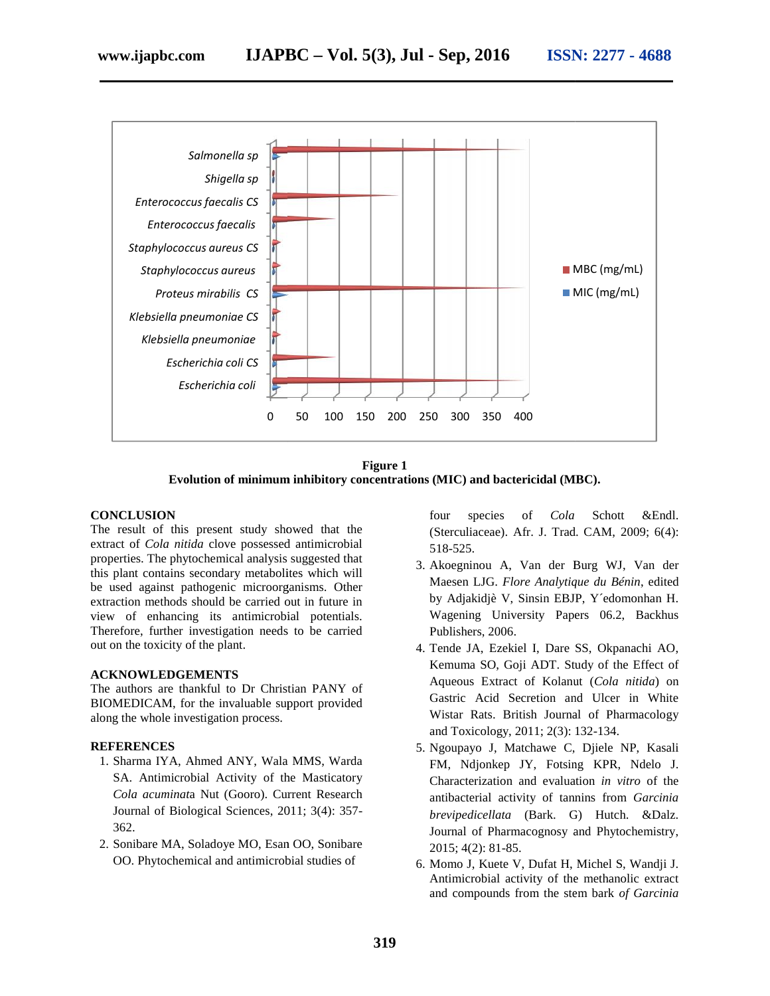



**Figure 1 Evolution of minimum inhibitory concentrations (MIC) and bactericidal (MBC).**

#### **CONCLUSION**

The result of this present study showed that the extract of *Cola nitida* clove possessed antimicrobial extract of *Cola nitida* clove possessed antimicrobial properties. The phytochemical analysis suggested that this plant contains secondary metabolites which will be used against pathogenic microorganisms. Other extraction methods should be carried out in future in view of enhancing its antimicrobial potentials. Therefore, further investigation needs to be carried out on the toxicity of the plant. properties. The phytochemical analysis suggested that<br>this plant contains secondary metabolites which will<br>be used against pathogenic microorganisms. Other<br>extraction methods should be carried out in future in<br>view of enha result of this present study showed that the properties. The phytochemical analysis suggested that<br>
retics. The phytochemical analysis suggested that<br>
ertics. The phytochemical analysis suggested that<br>
and 3. Akoegninou A,

#### **ACKNOWLEDGEMENTS**

The authors are thankful to Dr Christian PANY of BIOMEDICAM, for the invaluable support provided along the whole investigation process.

#### **REFERENCES**

- 1. Sharma IYA, Ahmed ANY, Wala MMS, Warda SA. Antimicrobial Activity of the Masticatory *Cola acuminat*a Nut (Gooro). Current Research Journal of Biological Sciences, 2011; 3(4): 357- 362.
- 2. Sonibare MA, Soladoye MO, Esan OO, Sonibare OO. Phytochemical and antimicrobial studies of

four species of *Cola* Schott &Endl. (Sterculiaceae). Afr. J. Trad. CAM, 2009; 6(4): 518-525.

- 3. Akoegninou A, Van der Burg WJ, Van der Maesen LJG. *Flore Analytique du Bénin*, edited by Adjakidjè V, Sinsin EBJP, Y´edomonhan H. Wagening University Papers 06.2, Backhus Publishers, 2006.
- 4. Tende JA, Ezekiel I, Dare SS, Okpanachi AO, Kemuma SO, Goji ADT. Study of the Effect of Aqueous Extract of Kolanut (*Cola nitida*) on Gastric Acid Secretion and Ulcer in White Wistar Rats. British Journal of Pharmacology and Toxicology, 2011; 2(3): 132-134.
- 5. Ngoupayo J, Matchawe C, Djiele NP, Kasali FM, Ndjonkep JY, Fotsing KPR, Ndelo J. Characterization and evaluation *in vitro* of the antibacterial activity of tannins from *Garcinia brevipedicellata* (Bark. G) Hutch. &Dalz. Journal of Pharmacognosy and Phytochemistry, 2015; 4(2): 81-85. and Toxicology, 2011; 2(3): 132-134.<br>Ngoupayo J, Matchawe C, Djiele NP, Kasali<br>FM, Ndjonkep JY, Fotsing KPR, Ndelo J.<br>Characterization and evaluation *in vitro* of the<br>antibacterial activity of tannins from *Garcinia* (Bark. G) Hutch. &Dalz.<br>macognosy and Phytochemistry,<br>5.<br>V, Dufat H, Michel S, Wandji J.<br>ctivity of the methanolic extract<br>from the stem bark of Garcinia Example 80, Goji ADT. Study of the Effect<br>
Dr Christian PANY of<br>
Iluable support provided<br>
Frocess.<br>
Wistar Rats. British Journal of Pharmacolo<br>
and Toxicology, 2011; 2(3): 132-134.<br>
5. Ngoupayo J, Matchawe C, Djiele NP, K
	- 6. Momo J, Kuete V, Dufat H, Michel S, Wandji J. Antimicrobial activity of the methanolic extract and compounds from the stem bark *of Garcinia*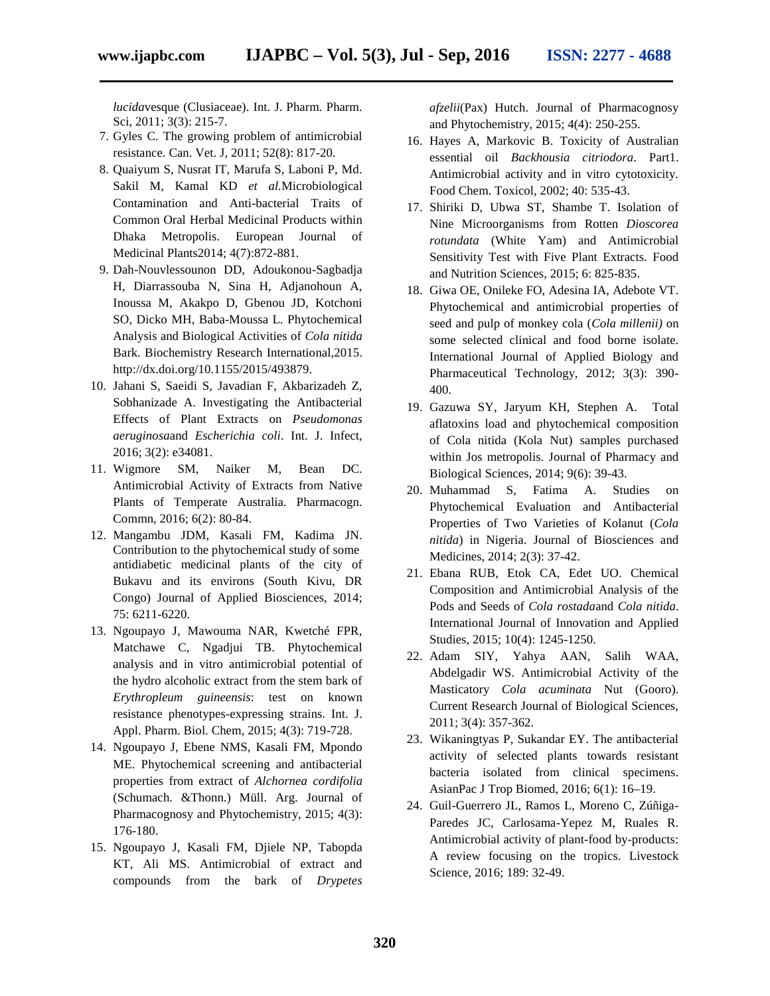*lucida*vesque (Clusiaceae). Int. J. Pharm. Pharm. Sci, 2011; 3(3): 215-7.

- 7. Gyles C. The growing problem of antimicrobial resistance. Can. Vet. J, 2011; 52(8): 817-20.
- 8. Quaiyum S, Nusrat IT, Marufa S, Laboni P, Md. Sakil M, Kamal KD *et al.*Microbiological Contamination and Anti-bacterial Traits of Common Oral Herbal Medicinal Products within Dhaka Metropolis. European Journal of Medicinal Plants2014; 4(7):872-881*.*
- 9. Dah-Nouvlessounon DD, Adoukonou-Sagbadja H, Diarrassouba N, Sina H, Adjanohoun A, Inoussa M, Akakpo D, Gbenou JD, Kotchoni SO, Dicko MH, Baba-Moussa L. Phytochemical Analysis and Biological Activities of *Cola nitida* Bark. Biochemistry Research International,2015. http://dx.doi.org/10.1155/2015/493879.
- 10. Jahani S, Saeidi S, Javadian F, Akbarizadeh Z, Sobhanizade A. Investigating the Antibacterial Effects of Plant Extracts on *Pseudomonas aeruginosa*and *Escherichia coli*. Int. J. Infect, 2016; 3(2): e34081.
- 11. Wigmore SM, Naiker M, Bean DC. Antimicrobial Activity of Extracts from Native Plants of Temperate Australia. Pharmacogn. Commn, 2016; 6(2): 80-84.
- 12. Mangambu JDM, Kasali FM, Kadima JN. Contribution to the phytochemical study of some antidiabetic medicinal plants of the city of Bukavu and its environs (South Kivu, DR Congo) Journal of Applied Biosciences, 2014; 75: 6211-6220.
- 13. Ngoupayo J, Mawouma NAR, Kwetché FPR, Matchawe C, Ngadjui TB. Phytochemical analysis and in vitro antimicrobial potential of the hydro alcoholic extract from the stem bark of *Erythropleum guineensis*: test on known resistance phenotypes-expressing strains. Int. J. Appl. Pharm. Biol. Chem, 2015; 4(3): 719-728.
- 14. Ngoupayo J, Ebene NMS, Kasali FM, Mpondo ME. Phytochemical screening and antibacterial properties from extract of *Alchornea cordifolia* (Schumach. &Thonn.) Müll. Arg. Journal of Pharmacognosy and Phytochemistry, 2015; 4(3): 176-180.
- 15. Ngoupayo J, Kasali FM, Djiele NP, Tabopda KT, Ali MS. Antimicrobial of extract and compounds from the bark of *Drypetes*

*afzelii*(Pax) Hutch. Journal of Pharmacognosy and Phytochemistry, 2015; 4(4): 250-255.

- 16. Hayes A, Markovic B. Toxicity of Australian essential oil *Backhousia citriodora*. Part1. Antimicrobial activity and in vitro cytotoxicity. Food Chem. Toxicol, 2002; 40: 535-43.
- 17. Shiriki D, Ubwa ST, Shambe T. Isolation of Nine Microorganisms from Rotten *Dioscorea rotundata* (White Yam) and Antimicrobial Sensitivity Test with Five Plant Extracts. Food and Nutrition Sciences, 2015; 6: 825-835.
- 18. Giwa OE, Onileke FO, Adesina IA, Adebote VT. Phytochemical and antimicrobial properties of seed and pulp of monkey cola (*Cola millenii)* on some selected clinical and food borne isolate. International Journal of Applied Biology and Pharmaceutical Technology, 2012; 3(3): 390- 400.
- 19. Gazuwa SY, Jaryum KH, Stephen A. Total aflatoxins load and phytochemical composition of Cola nitida (Kola Nut) samples purchased within Jos metropolis. Journal of Pharmacy and Biological Sciences, 2014; 9(6): 39-43.
- 20. Muhammad S, Fatima A. Studies on Phytochemical Evaluation and Antibacterial Properties of Two Varieties of Kolanut (*Cola nitida*) in Nigeria. Journal of Biosciences and Medicines, 2014; 2(3): 37-42.
- 21. Ebana RUB, Etok CA, Edet UO. Chemical Composition and Antimicrobial Analysis of the Pods and Seeds of *Cola rostada*and *Cola nitida*. International Journal of Innovation and Applied Studies, 2015; 10(4): 1245-1250.
- 22. Adam SIY, Yahya AAN, Salih WAA, Abdelgadir WS. Antimicrobial Activity of the Masticatory *Cola acuminata* Nut (Gooro). Current Research Journal of Biological Sciences, 2011; 3(4): 357-362.
- 23. Wikaningtyas P, Sukandar EY. The antibacterial activity of selected plants towards resistant bacteria isolated from clinical specimens. AsianPac J Trop Biomed, 2016; 6(1): 16–19.
- 24. Guil-Guerrero JL, Ramos L, Moreno C, Zúñiga- Paredes JC, Carlosama-Yepez M, Ruales R. Antimicrobial activity of plant-food by-products: A review focusing on the tropics. Livestock Science, 2016; 189: 32-49.